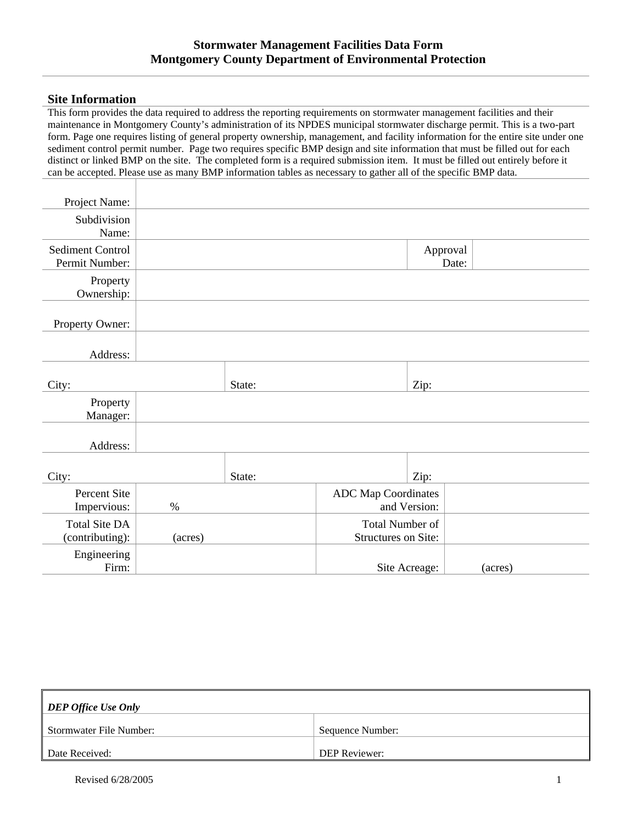## **Site Information**

This form provides the data required to address the reporting requirements on stormwater management facilities and their maintenance in Montgomery County's administration of its NPDES municipal stormwater discharge permit. This is a two-part form. Page one requires listing of general property ownership, management, and facility information for the entire site under one sediment control permit number. Page two requires specific BMP design and site information that must be filled out for each distinct or linked BMP on the site. The completed form is a required submission item. It must be filled out entirely before it can be accepted. Please use as many BMP information tables as necessary to gather all of the specific BMP data.

| Project Name:                             |         |        |                            |                                               |         |
|-------------------------------------------|---------|--------|----------------------------|-----------------------------------------------|---------|
| Subdivision<br>Name:                      |         |        |                            |                                               |         |
| <b>Sediment Control</b><br>Permit Number: |         |        |                            | Approval<br>Date:                             |         |
| Property<br>Ownership:                    |         |        |                            |                                               |         |
| Property Owner:                           |         |        |                            |                                               |         |
| Address:                                  |         |        |                            |                                               |         |
| City:                                     |         | State: |                            | Zip:                                          |         |
| Property<br>Manager:                      |         |        |                            |                                               |         |
| Address:                                  |         |        |                            |                                               |         |
| City:                                     |         | State: |                            | Zip:                                          |         |
| Percent Site<br>Impervious:               | $\%$    |        | <b>ADC Map Coordinates</b> | and Version:                                  |         |
| <b>Total Site DA</b><br>(contributing):   | (acres) |        |                            | Total Number of<br><b>Structures on Site:</b> |         |
| Engineering<br>Firm:                      |         |        |                            | Site Acreage:                                 | (acres) |

| <b>DEP Office Use Only</b> |                      |  |  |  |  |  |  |
|----------------------------|----------------------|--|--|--|--|--|--|
| Stormwater File Number:    | Sequence Number:     |  |  |  |  |  |  |
| Date Received:             | <b>DEP Reviewer:</b> |  |  |  |  |  |  |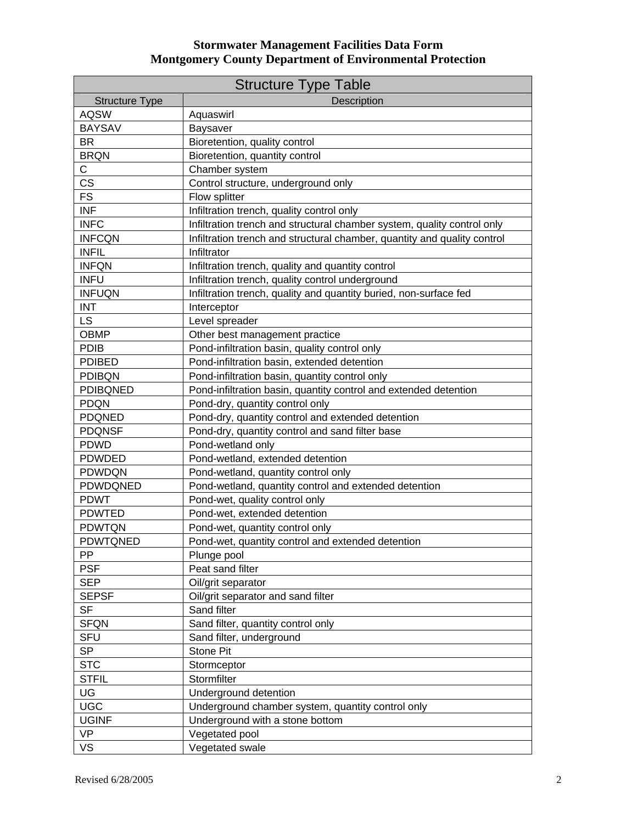## **Stormwater Management Facilities Data Form Montgomery County Department of Environmental Protection**

| <b>Structure Type Table</b> |                                                                          |  |  |  |  |  |
|-----------------------------|--------------------------------------------------------------------------|--|--|--|--|--|
| <b>Structure Type</b>       | Description                                                              |  |  |  |  |  |
| <b>AQSW</b>                 | Aquaswirl                                                                |  |  |  |  |  |
| <b>BAYSAV</b>               | <b>Baysaver</b>                                                          |  |  |  |  |  |
| <b>BR</b>                   | Bioretention, quality control                                            |  |  |  |  |  |
| <b>BRQN</b>                 | Bioretention, quantity control                                           |  |  |  |  |  |
| $\mathsf C$                 | Chamber system                                                           |  |  |  |  |  |
| CS                          | Control structure, underground only                                      |  |  |  |  |  |
| <b>FS</b>                   | Flow splitter                                                            |  |  |  |  |  |
| <b>INF</b>                  | Infiltration trench, quality control only                                |  |  |  |  |  |
| <b>INFC</b>                 | Infiltration trench and structural chamber system, quality control only  |  |  |  |  |  |
| <b>INFCQN</b>               | Infiltration trench and structural chamber, quantity and quality control |  |  |  |  |  |
| <b>INFIL</b>                | Infiltrator                                                              |  |  |  |  |  |
| <b>INFQN</b>                | Infiltration trench, quality and quantity control                        |  |  |  |  |  |
| <b>INFU</b>                 | Infiltration trench, quality control underground                         |  |  |  |  |  |
| <b>INFUQN</b>               | Infiltration trench, quality and quantity buried, non-surface fed        |  |  |  |  |  |
| <b>INT</b>                  | Interceptor                                                              |  |  |  |  |  |
| <b>LS</b>                   | Level spreader                                                           |  |  |  |  |  |
| <b>OBMP</b>                 | Other best management practice                                           |  |  |  |  |  |
| PDIB                        | Pond-infiltration basin, quality control only                            |  |  |  |  |  |
| <b>PDIBED</b>               | Pond-infiltration basin, extended detention                              |  |  |  |  |  |
| <b>PDIBQN</b>               | Pond-infiltration basin, quantity control only                           |  |  |  |  |  |
| <b>PDIBQNED</b>             | Pond-infiltration basin, quantity control and extended detention         |  |  |  |  |  |
| <b>PDQN</b>                 | Pond-dry, quantity control only                                          |  |  |  |  |  |
| <b>PDQNED</b>               | Pond-dry, quantity control and extended detention                        |  |  |  |  |  |
| <b>PDQNSF</b>               | Pond-dry, quantity control and sand filter base                          |  |  |  |  |  |
| <b>PDWD</b>                 | Pond-wetland only                                                        |  |  |  |  |  |
| <b>PDWDED</b>               | Pond-wetland, extended detention                                         |  |  |  |  |  |
| PDWDQN                      | Pond-wetland, quantity control only                                      |  |  |  |  |  |
| PDWDQNED                    | Pond-wetland, quantity control and extended detention                    |  |  |  |  |  |
| <b>PDWT</b>                 | Pond-wet, quality control only                                           |  |  |  |  |  |
| <b>PDWTED</b>               | Pond-wet, extended detention                                             |  |  |  |  |  |
| <b>PDWTQN</b>               | Pond-wet, quantity control only                                          |  |  |  |  |  |
| PDWTQNED                    | Pond-wet, quantity control and extended detention                        |  |  |  |  |  |
| PP.                         | Plunge pool                                                              |  |  |  |  |  |
| <b>PSF</b>                  | Peat sand filter                                                         |  |  |  |  |  |
| <b>SEP</b>                  | Oil/grit separator                                                       |  |  |  |  |  |
| <b>SEPSF</b>                | Oil/grit separator and sand filter                                       |  |  |  |  |  |
| <b>SF</b>                   | Sand filter                                                              |  |  |  |  |  |
| <b>SFQN</b>                 | Sand filter, quantity control only                                       |  |  |  |  |  |
| <b>SFU</b>                  | Sand filter, underground                                                 |  |  |  |  |  |
| SP                          | Stone Pit                                                                |  |  |  |  |  |
| <b>STC</b>                  | Stormceptor                                                              |  |  |  |  |  |
| <b>STFIL</b>                | Stormfilter                                                              |  |  |  |  |  |
| UG                          | Underground detention                                                    |  |  |  |  |  |
| <b>UGC</b>                  | Underground chamber system, quantity control only                        |  |  |  |  |  |
| <b>UGINF</b>                | Underground with a stone bottom                                          |  |  |  |  |  |
| <b>VP</b>                   | Vegetated pool                                                           |  |  |  |  |  |
| <b>VS</b>                   | Vegetated swale                                                          |  |  |  |  |  |